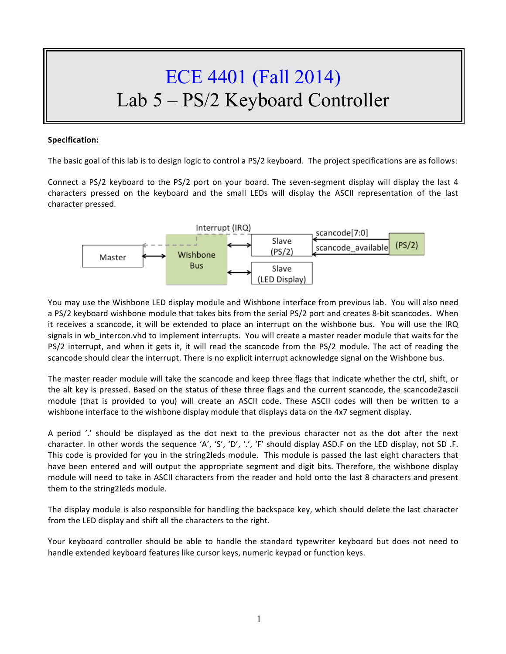# ECE 4401 (Fall 2014) Lab 5 – PS/2 Keyboard Controller

## **Specification:**

The basic goal of this lab is to design logic to control a  $PS/2$  keyboard. The project specifications are as follows:

Connect a PS/2 keyboard to the PS/2 port on your board. The seven-segment display will display the last 4 characters pressed on the keyboard and the small LEDs will display the ASCII representation of the last character pressed.



You may use the Wishbone LED display module and Wishbone interface from previous lab. You will also need a PS/2 keyboard wishbone module that takes bits from the serial PS/2 port and creates 8-bit scancodes. When it receives a scancode, it will be extended to place an interrupt on the wishbone bus. You will use the IRQ signals in wb\_intercon.vhd to implement interrupts. You will create a master reader module that waits for the PS/2 interrupt, and when it gets it, it will read the scancode from the PS/2 module. The act of reading the scancode should clear the interrupt. There is no explicit interrupt acknowledge signal on the Wishbone bus.

The master reader module will take the scancode and keep three flags that indicate whether the ctrl, shift, or the alt key is pressed. Based on the status of these three flags and the current scancode, the scancode2ascii module (that is provided to you) will create an ASCII code. These ASCII codes will then be written to a wishbone interface to the wishbone display module that displays data on the 4x7 segment display.

A period  $\prime$  should be displayed as the dot next to the previous character not as the dot after the next character. In other words the sequence 'A', 'S', 'D', '.', 'F' should display ASD.F on the LED display, not SD .F. This code is provided for you in the string2leds module. This module is passed the last eight characters that have been entered and will output the appropriate segment and digit bits. Therefore, the wishbone display module will need to take in ASCII characters from the reader and hold onto the last 8 characters and present them to the string2leds module.

The display module is also responsible for handling the backspace key, which should delete the last character from the LED display and shift all the characters to the right.

Your keyboard controller should be able to handle the standard typewriter keyboard but does not need to handle extended keyboard features like cursor keys, numeric keypad or function keys.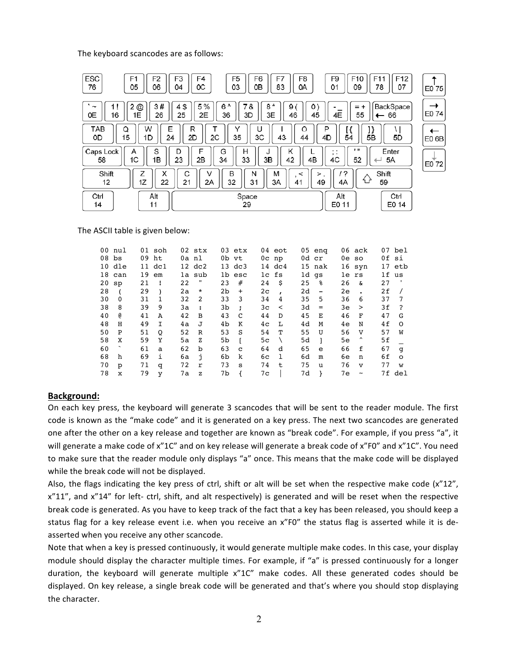The keyboard scancodes are as follows:

| ESC<br>F5<br>F6<br>F8<br>F <sub>1</sub><br>F <sub>2</sub><br>F3<br>F4<br>F7<br>F9<br>F <sub>10</sub><br>76<br>05<br>09<br>06<br>0C<br>03<br>OВ<br>83<br>01<br>04<br>0A                      | F <sub>12</sub><br>F <sub>11</sub><br>78<br>07 | E0 75 |
|---------------------------------------------------------------------------------------------------------------------------------------------------------------------------------------------|------------------------------------------------|-------|
| 3#<br>5%<br>6 ^<br>4\$<br>8*<br>7&<br>2<br>$^\text{\textregistered}$<br>9<br>0<br>$\ddot{}$<br>$=$<br>1!<br>~<br>4E<br>0E<br>46<br>45<br>16<br>1E<br>26<br>25<br>2Е<br>36<br>3D<br>3E<br>55 | BackSpace<br>$\leftarrow$ 66                   | E0 74 |
| TAB<br>W<br>R<br>Q<br>Е<br>Ō<br>P<br>15<br>35<br>2D<br>2C<br>ЗC<br>54<br>0D<br>1D<br>43<br>4D<br>44<br>24                                                                                   | 5Β<br>5D                                       | E0 6B |
| . .<br>D<br>ĸ<br>S<br>F<br>G<br>н<br>Caps Lock<br>A<br>. .<br>$, \cdot$<br>33<br>1C<br>1Β<br>23<br>2Β<br>3B<br>42<br>4B<br>4C<br>52<br>58<br>34                                             | Enter<br>5A                                    | E0 72 |
| X<br>Shift<br>Z<br>B<br>M<br>1?<br>С<br>Ν<br>V<br><<br>><br>分<br>1Z<br>22<br>32<br>49<br>21<br>31<br>12<br>2A<br>ЗA<br>41<br>4A                                                             | Shift<br>59                                    |       |
| Čtrl<br>Alt<br>Space<br>Alt<br>29<br>E0 11<br>14<br>11                                                                                                                                      | Ctrl<br>E0 14                                  |       |

#### The ASCII table is given below:

|    | 00 nul       |    | $01$ soh         |    | 02 stx               |    | 03 etx           |                | 04 eot           |    | $05$ eng                 |    | 06 ack              |    | 07 bel         |
|----|--------------|----|------------------|----|----------------------|----|------------------|----------------|------------------|----|--------------------------|----|---------------------|----|----------------|
|    | $08$ $bs$    | 09 | ht               |    | 0a nl                |    | 0b vt            |                | $0c$ np          |    | 0d cr                    |    | 0e so               |    | 0f si          |
|    | 10 dle       |    | $11 \text{ dcl}$ |    | $12 \text{ dc}2$     |    | $13 \text{ dc}3$ |                | $14 \text{ dc}4$ |    | 15 nak                   |    | $16$ syn            |    | 17 etb         |
|    | 18 can       | 19 | em               |    | la sub               |    | 1b esc           |                | lc fs            |    | 1d gs                    |    | le rs               |    | 1f us          |
| 20 | sp           | 21 | $\mathbf{I}$     | 22 | π                    | 23 | #                | 24             | \$               | 25 | ႜ                        | 26 | δr                  | 27 |                |
| 28 |              | 29 |                  | 2a | $^\star$             | 2b | $\ddot{}$        | 2 <sub>c</sub> |                  | 2d | $\overline{\phantom{a}}$ | 2e |                     | 2f |                |
| 30 | $\mathbf{0}$ | 31 | 1                | 32 | 2                    | 33 | 3                | 34             | 4                | 35 | 5                        | 36 | 6                   | 37 | -7             |
| 38 | 8            | 39 | 9                | 3a | $\ddot{\phantom{a}}$ | 3b | $\ddot{ }$       | 3c             | $\,<\,$          | 3d | $=$                      | 3e | $\geq$              | 3f | $\overline{?}$ |
| 40 | e            | 41 | A                | 42 | B                    | 43 | C                | 44             | D                | 45 | Е                        | 46 | F                   | 47 | G              |
| 48 | H            | 49 | I.               | 4a | J                    | 4b | К                | 4 <sub>c</sub> | L                | 4d | M                        | 4e | N                   | 4f | $\circ$        |
| 50 | P            | 51 | O                | 52 | $\mathbb R$          | 53 | S                | 54             | т                | 55 | U                        | 56 | V                   | 57 | W              |
| 58 | X            | 59 | Y                | 5a | z                    | 5b | Т.               | 5 <sub>c</sub> |                  | 5d |                          | 5e | $\hat{\phantom{a}}$ | 5f |                |
| 60 |              | 61 | a                | 62 | b                    | 63 | C                | 64             | d                | 65 | e                        | 66 | f                   | 67 | q              |
| 68 | h            | 69 | i.               | бa | Ť.                   | 6b | k                | 6с             | 1                | 6d | m                        | 6e | n                   | 6f | $\circ$        |
| 70 | p            | 71 | q                | 72 | r                    | 73 | s                | 74             | t                | 75 | u                        | 76 | $\mathbf{v}$        | 77 | W              |
| 78 | x            | 79 | y                | 7а | z                    | 7b |                  | 7с             |                  | 7d |                          | 7е | $\tilde{}$          |    | 7f del         |
|    |              |    |                  |    |                      |    |                  |                |                  |    |                          |    |                     |    |                |

#### **Background:**

On each key press, the keyboard will generate 3 scancodes that will be sent to the reader module. The first code is known as the "make code" and it is generated on a key press. The next two scancodes are generated one after the other on a key release and together are known as "break code". For example, if you press "a", it will generate a make code of x"1C" and on key release will generate a break code of x"F0" and x"1C". You need to make sure that the reader module only displays "a" once. This means that the make code will be displayed while the break code will not be displayed.

Also, the flags indicating the key press of ctrl, shift or alt will be set when the respective make code (x"12", x"11", and x"14" for left- ctrl, shift, and alt respectively) is generated and will be reset when the respective break code is generated. As you have to keep track of the fact that a key has been released, you should keep a status flag for a key release event i.e. when you receive an x"FO" the status flag is asserted while it is deasserted when you receive any other scancode.

Note that when a key is pressed continuously, it would generate multiple make codes. In this case, your display module should display the character multiple times. For example, if "a" is pressed continuously for a longer duration, the keyboard will generate multiple x"1C" make codes. All these generated codes should be displayed. On key release, a single break code will be generated and that's where you should stop displaying the character.